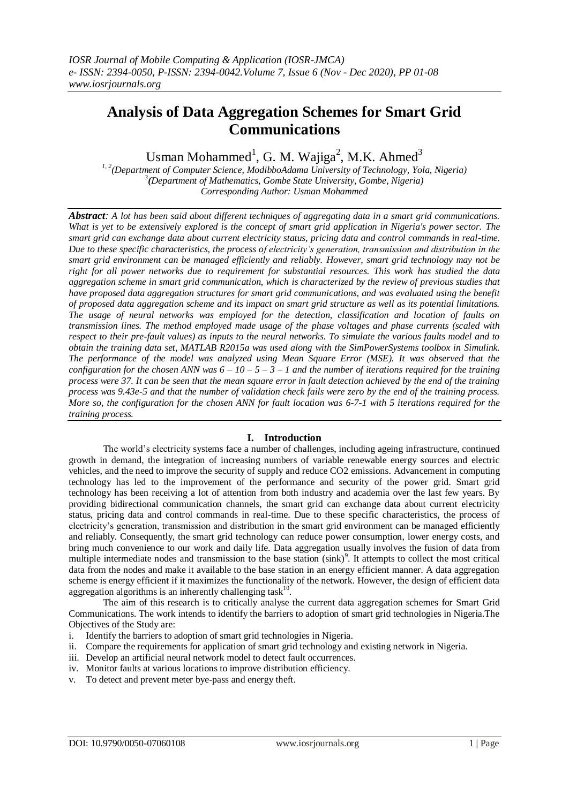# **Analysis of Data Aggregation Schemes for Smart Grid Communications**

Usman Mohammed<sup>1</sup>, G. M. Wajiga<sup>2</sup>, M.K. Ahmed<sup>3</sup>

*1, 2(Department of Computer Science, ModibboAdama University of Technology, Yola, Nigeria) 3 (Department of Mathematics, Gombe State University, Gombe, Nigeria) Corresponding Author: Usman Mohammed*

*Abstract: A lot has been said about different techniques of aggregating data in a smart grid communications. What is yet to be extensively explored is the concept of smart grid application in Nigeria's power sector. The smart grid can exchange data about current electricity status, pricing data and control commands in real-time. Due to these specific characteristics, the process of electricity's generation, transmission and distribution in the smart grid environment can be managed efficiently and reliably. However, smart grid technology may not be right for all power networks due to requirement for substantial resources. This work has studied the data aggregation scheme in smart grid communication, which is characterized by the review of previous studies that have proposed data aggregation structures for smart grid communications, and was evaluated using the benefit of proposed data aggregation scheme and its impact on smart grid structure as well as its potential limitations. The usage of neural networks was employed for the detection, classification and location of faults on transmission lines. The method employed made usage of the phase voltages and phase currents (scaled with respect to their pre-fault values) as inputs to the neural networks. To simulate the various faults model and to obtain the training data set, MATLAB R2015a was used along with the SimPowerSystems toolbox in Simulink. The performance of the model was analyzed using Mean Square Error (MSE). It was observed that the configuration for the chosen ANN was*  $6 - 10 - 5 - 3 - 1$  *and the number of iterations required for the training process were 37. It can be seen that the mean square error in fault detection achieved by the end of the training process was 9.43e-5 and that the number of validation check fails were zero by the end of the training process. More so, the configuration for the chosen ANN for fault location was 6-7-1 with 5 iterations required for the training process.*

# **I. Introduction**

The world's electricity systems face a number of challenges, including ageing infrastructure, continued growth in demand, the integration of increasing numbers of variable renewable energy sources and electric vehicles, and the need to improve the security of supply and reduce CO2 emissions. Advancement in computing technology has led to the improvement of the performance and security of the power grid. Smart grid technology has been receiving a lot of attention from both industry and academia over the last few years. By providing bidirectional communication channels, the smart grid can exchange data about current electricity status, pricing data and control commands in real-time. Due to these specific characteristics, the process of electricity's generation, transmission and distribution in the smart grid environment can be managed efficiently and reliably. Consequently, the smart grid technology can reduce power consumption, lower energy costs, and bring much convenience to our work and daily life. Data aggregation usually involves the fusion of data from multiple intermediate nodes and transmission to the base station (sink)<sup>9</sup>. It attempts to collect the most critical data from the nodes and make it available to the base station in an energy efficient manner. A data aggregation scheme is energy efficient if it maximizes the functionality of the network. However, the design of efficient data aggregation algorithms is an inherently challenging task $10$ .

The aim of this research is to critically analyse the current data aggregation schemes for Smart Grid Communications. The work intends to identify the barriers to adoption of smart grid technologies in Nigeria.The Objectives of the Study are:

- i. Identify the barriers to adoption of smart grid technologies in Nigeria.
- ii. Compare the requirements for application of smart grid technology and existing network in Nigeria.
- iii. Develop an artificial neural network model to detect fault occurrences.
- iv. Monitor faults at various locations to improve distribution efficiency.
- v. To detect and prevent meter bye-pass and energy theft.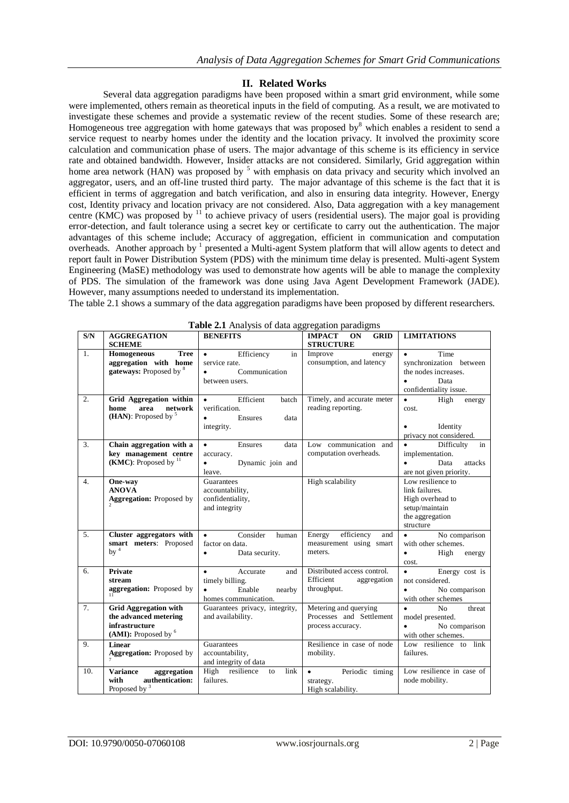# **II. Related Works**

Several data aggregation paradigms have been proposed within a smart grid environment, while some were implemented, others remain as theoretical inputs in the field of computing. As a result, we are motivated to investigate these schemes and provide a systematic review of the recent studies. Some of these research are; Homogeneous tree aggregation with home gateways that was proposed by which enables a resident to send a service request to nearby homes under the identity and the location privacy. It involved the proximity score calculation and communication phase of users. The major advantage of this scheme is its efficiency in service rate and obtained bandwidth. However, Insider attacks are not considered. Similarly, Grid aggregation within home area network (HAN) was proposed by <sup>5</sup> with emphasis on data privacy and security which involved an aggregator, users, and an off-line trusted third party. The major advantage of this scheme is the fact that it is efficient in terms of aggregation and batch verification, and also in ensuring data integrity. However, Energy cost, Identity privacy and location privacy are not considered. Also, Data aggregation with a key management centre (KMC) was proposed by  $11$  to achieve privacy of users (residential users). The major goal is providing error-detection, and fault tolerance using a secret key or certificate to carry out the authentication. The major advantages of this scheme include; Accuracy of aggregation, efficient in communication and computation overheads. Another approach by <sup>1</sup> presented a Multi-agent System platform that will allow agents to detect and report fault in Power Distribution System (PDS) with the minimum time delay is presented. Multi-agent System Engineering (MaSE) methodology was used to demonstrate how agents will be able to manage the complexity of PDS. The simulation of the framework was done using Java Agent Development Framework (JADE). However, many assumptions needed to understand its implementation.

The table 2.1 shows a summary of the data aggregation paradigms have been proposed by different researchers.

| S/N              | <b>AGGREGATION</b><br><b>SCHEME</b>                                                             | <b>BENEFITS</b>                                                                                          | <b>GRID</b><br><b>IMPACT ON</b><br><b>STRUCTURE</b>                    | <b>LIMITATIONS</b>                                                                                                  |
|------------------|-------------------------------------------------------------------------------------------------|----------------------------------------------------------------------------------------------------------|------------------------------------------------------------------------|---------------------------------------------------------------------------------------------------------------------|
| $\mathbf{1}$ .   | <b>Tree</b><br>Homogeneous<br>aggregation with home<br>gateways: Proposed by 8                  | Efficiency<br>in<br>$\bullet$<br>service rate.<br>$\bullet$<br>Communication<br>between users.           | Improve<br>energy<br>consumption, and latency                          | $\bullet$<br>Time<br>synchronization between<br>the nodes increases.<br>Data<br>$\bullet$<br>confidentiality issue. |
| $\overline{2}$ . | Grid Aggregation within<br>home<br>area<br>network<br>(HAN): Proposed by $5$                    | Efficient<br>batch<br>$\bullet$<br>verification.<br>Ensures<br>data<br>$\bullet$<br>integrity.           | Timely, and accurate meter<br>reading reporting.                       | $\bullet$<br>High<br>energy<br>cost.<br>Identity<br>privacy not considered.                                         |
| $\overline{3}$ . | Chain aggregation with a<br>key management centre<br>(KMC): Proposed by $^{11}$                 | Ensures<br>data<br>$\bullet$<br>accuracy.<br>Dynamic join and<br>$\bullet$<br>leave.                     | Low communication and<br>computation overheads.                        | Difficulty<br>$\bullet$<br>in<br>implementation.<br>Data<br>attacks<br>$\bullet$<br>are not given priority.         |
| $\overline{4}$ . | One-way<br><b>ANOVA</b><br>Aggregation: Proposed by                                             | Guarantees<br>accountability,<br>confidentiality,<br>and integrity                                       | High scalability                                                       | Low resilience to<br>link failures.<br>High overhead to<br>setup/maintain<br>the aggregation<br>structure           |
| 5.               | Cluster aggregators with<br>smart meters: Proposed<br>by $4$                                    | Consider<br>$\bullet$<br>human<br>factor on data.<br>Data security.<br>$\bullet$                         | efficiency<br>Energy<br>and<br>measurement using smart<br>meters.      | No comparison<br>$\bullet$<br>with other schemes.<br>High energy<br>$\bullet$<br>cost.                              |
| 6.               | <b>Private</b><br>stream<br>aggregation: Proposed by                                            | $\bullet$<br>Accurate<br>and<br>timely billing.<br>Enable<br>$\bullet$<br>nearby<br>homes communication. | Distributed access control.<br>Efficient<br>aggregation<br>throughput. | $\bullet$<br>Energy cost is<br>not considered.<br>No comparison<br>$\bullet$<br>with other schemes                  |
| $\overline{7}$ . | <b>Grid Aggregation with</b><br>the advanced metering<br>infrastructure<br>(AMI): Proposed by 6 | Guarantees privacy, integrity,<br>and availability.                                                      | Metering and querying<br>Processes and Settlement<br>process accuracy. | N <sub>0</sub><br>threat<br>model presented.<br>No comparison<br>$\bullet$<br>with other schemes.                   |
| 9.               | Linear<br><b>Aggregation:</b> Proposed by                                                       | Guarantees<br>accountability,<br>and integrity of data                                                   | Resilience in case of node<br>mobility.                                | Low resilience to link<br>failures.                                                                                 |
| 10.              | aggregation<br><b>Variance</b><br>authentication:<br>with<br>Proposed by <sup>3</sup>           | High resilience<br>link<br>to<br>failures.                                                               | Periodic timing<br>$\bullet$<br>strategy.<br>High scalability.         | Low resilience in case of<br>node mobility.                                                                         |

**Table 2.1** Analysis of data aggregation paradigms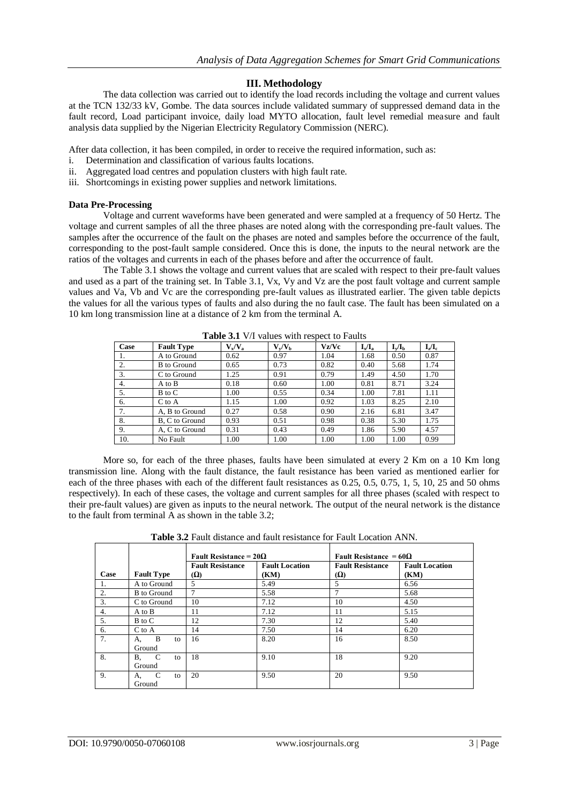# **III. Methodology**

The data collection was carried out to identify the load records including the voltage and current values at the TCN 132/33 kV, Gombe. The data sources include validated summary of suppressed demand data in the fault record, Load participant invoice, daily load MYTO allocation, fault level remedial measure and fault analysis data supplied by the Nigerian Electricity Regulatory Commission (NERC).

After data collection, it has been compiled, in order to receive the required information, such as:

- i. Determination and classification of various faults locations.
- ii. Aggregated load centres and population clusters with high fault rate.
- iii. Shortcomings in existing power supplies and network limitations.

#### **Data Pre-Processing**

Voltage and current waveforms have been generated and were sampled at a frequency of 50 Hertz. The voltage and current samples of all the three phases are noted along with the corresponding pre-fault values. The samples after the occurrence of the fault on the phases are noted and samples before the occurrence of the fault, corresponding to the post-fault sample considered. Once this is done, the inputs to the neural network are the ratios of the voltages and currents in each of the phases before and after the occurrence of fault.

The Table 3.1 shows the voltage and current values that are scaled with respect to their pre-fault values and used as a part of the training set. In Table 3.1, Vx, Vy and Vz are the post fault voltage and current sample values and Va, Vb and Vc are the corresponding pre-fault values as illustrated earlier. The given table depicts the values for all the various types of faults and also during the no fault case. The fault has been simulated on a 10 km long transmission line at a distance of 2 km from the terminal A.

| Case | <b>Fault Type</b>  | $V_x/V_a$ | $V_{\rm v}/V_{\rm b}$ | Vz/Vc | $I_x/I_a$ | $I_{v}/I_{h}$ | $L/L_c$ |
|------|--------------------|-----------|-----------------------|-------|-----------|---------------|---------|
| 1.   | A to Ground        | 0.62      | 0.97                  | 1.04  | 1.68      | 0.50          | 0.87    |
| 2.   | <b>B</b> to Ground | 0.65      | 0.73                  | 0.82  | 0.40      | 5.68          | 1.74    |
| 3.   | C to Ground        | 1.25      | 0.91                  | 0.79  | 1.49      | 4.50          | 1.70    |
| 4.   | A to B             | 0.18      | 0.60                  | 1.00  | 0.81      | 8.71          | 3.24    |
| 5.   | B to C             | 1.00      | 0.55                  | 0.34  | 1.00      | 7.81          | 1.11    |
| 6.   | $C$ to $A$         | 1.15      | 1.00                  | 0.92  | 1.03      | 8.25          | 2.10    |
| 7.   | A, B to Ground     | 0.27      | 0.58                  | 0.90  | 2.16      | 6.81          | 3.47    |
| 8.   | B, C to Ground     | 0.93      | 0.51                  | 0.98  | 0.38      | 5.30          | 1.75    |
| 9.   | A, C to Ground     | 0.31      | 0.43                  | 0.49  | 1.86      | 5.90          | 4.57    |
| 10.  | No Fault           | 1.00      | 1.00                  | 1.00  | 1.00      | 1.00          | 0.99    |

Table 3.1 V/I values with respect to Faults

More so, for each of the three phases, faults have been simulated at every 2 Km on a 10 Km long transmission line. Along with the fault distance, the fault resistance has been varied as mentioned earlier for each of the three phases with each of the different fault resistances as 0.25, 0.5, 0.75, 1, 5, 10, 25 and 50 ohms respectively). In each of these cases, the voltage and current samples for all three phases (scaled with respect to their pre-fault values) are given as inputs to the neural network. The output of the neural network is the distance to the fault from terminal A as shown in the table 3.2;

|                  |                                          | Fault Resistance = $20\Omega$         |                               | Fault Resistance = $60\Omega$         |                               |  |
|------------------|------------------------------------------|---------------------------------------|-------------------------------|---------------------------------------|-------------------------------|--|
| Case             | <b>Fault Type</b>                        | <b>Fault Resistance</b><br><b>(Ω)</b> | <b>Fault Location</b><br>(KM) | <b>Fault Resistance</b><br>$(\Omega)$ | <b>Fault Location</b><br>(KM) |  |
| 1.               | A to Ground                              | 5                                     | 5.49                          | 5                                     | 6.56                          |  |
| 2.               | <b>B</b> to Ground                       | $\tau$                                | 5.58                          |                                       | 5.68                          |  |
| 3.               | C to Ground                              | 10                                    | 7.12                          | 10                                    | 4.50                          |  |
| $\overline{4}$ . | A to B                                   | 11                                    | 7.12                          | 11                                    | 5.15                          |  |
| 5.               | B to C                                   | 12                                    | 7.30                          | 12                                    | 5.40                          |  |
| 6.               | C to A                                   | 14                                    | 7.50                          | 14                                    | 6.20                          |  |
| 7.               | B<br>А.<br>to<br>Ground                  | 16                                    | 8.20                          | 16                                    | 8.50                          |  |
| 8.               | $\mathbf C$<br><b>B.</b><br>to<br>Ground | 18                                    | 9.10                          | 18                                    | 9.20                          |  |
| 9.               | C<br>to<br>А.<br>Ground                  | 20                                    | 9.50                          | 20                                    | 9.50                          |  |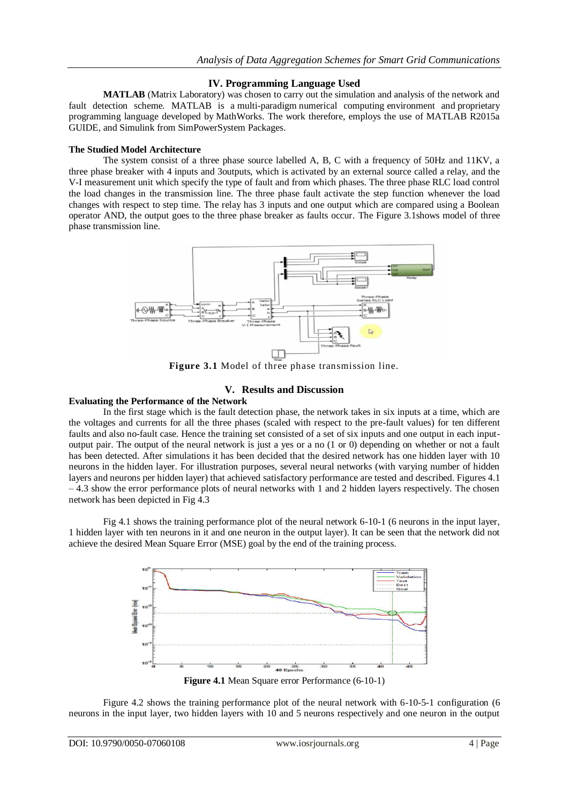## **IV. Programming Language Used**

**MATLAB** (Matrix Laboratory) was chosen to carry out the simulation and analysis of the network and fault detection scheme. MATLAB is a [multi-paradigm](https://en.wikipedia.org/wiki/Multi-paradigm_programming_language) [numerical computing](https://en.wikipedia.org/wiki/Numerical_analysis) environment and [proprietary](https://en.wikipedia.org/wiki/Proprietary_programming_language)  [programming language](https://en.wikipedia.org/wiki/Proprietary_programming_language) developed by [MathWorks.](https://en.wikipedia.org/wiki/MathWorks) The work therefore, employs the use of MATLAB R2015a GUIDE, and Simulink from SimPowerSystem Packages.

#### **The Studied Model Architecture**

The system consist of a three phase source labelled A, B, C with a frequency of 50Hz and 11KV, a three phase breaker with 4 inputs and 3outputs, which is activated by an external source called a relay, and the V-I measurement unit which specify the type of fault and from which phases. The three phase RLC load control the load changes in the transmission line. The three phase fault activate the step function whenever the load changes with respect to step time. The relay has 3 inputs and one output which are compared using a Boolean operator AND, the output goes to the three phase breaker as faults occur. The Figure 3.1shows model of three phase transmission line.



**Figure 3.1** Model of three phase transmission line.

### **V. Results and Discussion**

#### **Evaluating the Performance of the Network**

In the first stage which is the fault detection phase, the network takes in six inputs at a time, which are the voltages and currents for all the three phases (scaled with respect to the pre-fault values) for ten different faults and also no-fault case. Hence the training set consisted of a set of six inputs and one output in each inputoutput pair. The output of the neural network is just a yes or a no (1 or 0) depending on whether or not a fault has been detected. After simulations it has been decided that the desired network has one hidden layer with 10 neurons in the hidden layer. For illustration purposes, several neural networks (with varying number of hidden layers and neurons per hidden layer) that achieved satisfactory performance are tested and described. Figures 4.1 – 4.3 show the error performance plots of neural networks with 1 and 2 hidden layers respectively. The chosen network has been depicted in Fig 4.3

Fig 4.1 shows the training performance plot of the neural network 6-10-1 (6 neurons in the input layer, 1 hidden layer with ten neurons in it and one neuron in the output layer). It can be seen that the network did not achieve the desired Mean Square Error (MSE) goal by the end of the training process.



Figure 4.2 shows the training performance plot of the neural network with 6-10-5-1 configuration (6 neurons in the input layer, two hidden layers with 10 and 5 neurons respectively and one neuron in the output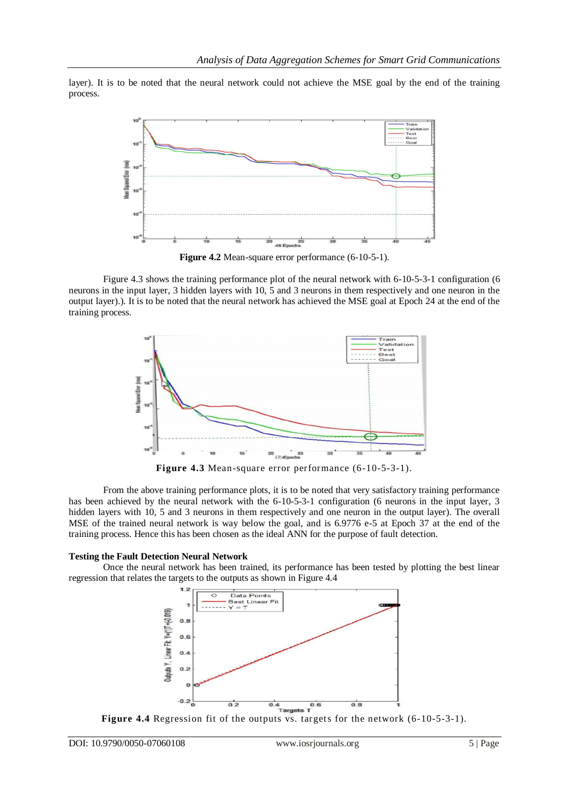layer). It is to be noted that the neural network could not achieve the MSE goal by the end of the training process.



**Figure 4.2** Mean-square error performance (6-10-5-1).

Figure 4.3 shows the training performance plot of the neural network with 6-10-5-3-1 configuration (6 neurons in the input layer, 3 hidden layers with 10, 5 and 3 neurons in them respectively and one neuron in the output layer).). It is to be noted that the neural network has achieved the MSE goal at Epoch 24 at the end of the training process.



**Figure 4.3** Mean-square error performance (6-10-5-3-1).

From the above training performance plots, it is to be noted that very satisfactory training performance has been achieved by the neural network with the 6-10-5-3-1 configuration (6 neurons in the input layer, 3 hidden layers with 10, 5 and 3 neurons in them respectively and one neuron in the output layer). The overall MSE of the trained neural network is way below the goal, and is 6.9776 e-5 at Epoch 37 at the end of the training process. Hence this has been chosen as the ideal ANN for the purpose of fault detection.

#### **Testing the Fault Detection Neural Network**

Once the neural network has been trained, its performance has been tested by plotting the best linear regression that relates the targets to the outputs as shown in Figure 4.4



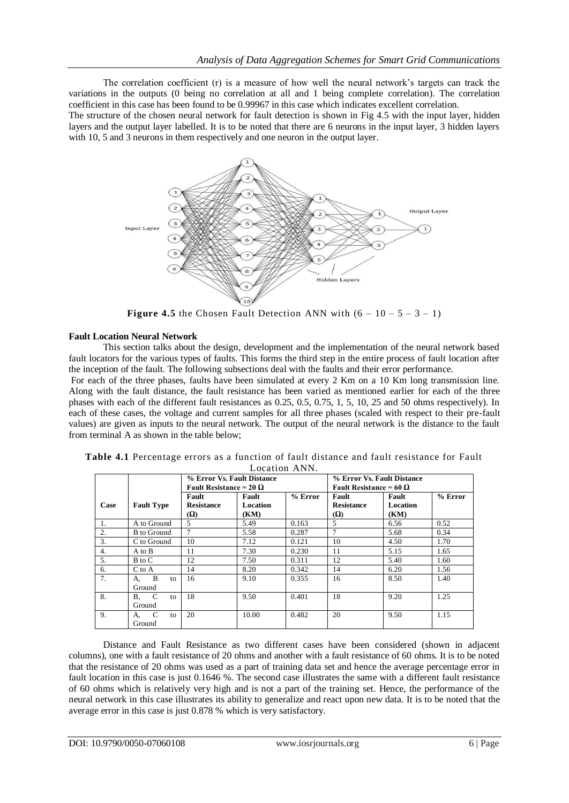The correlation coefficient (r) is a measure of how well the neural network's targets can track the variations in the outputs (0 being no correlation at all and 1 being complete correlation). The correlation coefficient in this case has been found to be 0.99967 in this case which indicates excellent correlation.

The structure of the chosen neural network for fault detection is shown in Fig 4.5 with the input layer, hidden layers and the output layer labelled. It is to be noted that there are 6 neurons in the input layer, 3 hidden layers with 10, 5 and 3 neurons in them respectively and one neuron in the output layer.



**Figure 4.5** the Chosen Fault Detection ANN with  $(6 - 10 - 5 - 3 - 1)$ 

## **Fault Location Neural Network**

This section talks about the design, development and the implementation of the neural network based fault locators for the various types of faults. This forms the third step in the entire process of fault location after the inception of the fault. The following subsections deal with the faults and their error performance.

For each of the three phases, faults have been simulated at every 2 Km on a 10 Km long transmission line. Along with the fault distance, the fault resistance has been varied as mentioned earlier for each of the three phases with each of the different fault resistances as 0.25, 0.5, 0.75, 1, 5, 10, 25 and 50 ohms respectively). In each of these cases, the voltage and current samples for all three phases (scaled with respect to their pre-fault values) are given as inputs to the neural network. The output of the neural network is the distance to the fault from terminal A as shown in the table below;

|                  |                         | % Error Vs. Fault Distance<br>Fault Resistance = 20 $\Omega$ |                           |           | % Error Vs. Fault Distance<br>Fault Resistance = 60 $\Omega$ |                           |           |
|------------------|-------------------------|--------------------------------------------------------------|---------------------------|-----------|--------------------------------------------------------------|---------------------------|-----------|
| Case             | <b>Fault Type</b>       | Fault<br><b>Resistance</b><br><b>Ω</b>                       | Fault<br>Location<br>(KM) | $%$ Error | Fault<br><b>Resistance</b><br>(Ω)                            | Fault<br>Location<br>(KM) | $%$ Error |
| $\mathbf{1}$ .   | A to Ground             | $\overline{5}$                                               | 5.49                      | 0.163     | 5                                                            | 6.56                      | 0.52      |
| $\overline{2}$ . | <b>B</b> to Ground      | $\overline{7}$                                               | 5.58                      | 0.287     | 7                                                            | 5.68                      | 0.34      |
| 3.               | C to Ground             | 10                                                           | 7.12                      | 0.121     | 10                                                           | 4.50                      | 1.70      |
| 4.               | A to B                  | 11                                                           | 7.30                      | 0.230     | 11                                                           | 5.15                      | 1.65      |
| 5.               | B to C                  | 12                                                           | 7.50                      | 0.311     | 12                                                           | 5.40                      | 1.60      |
| 6.               | C to A                  | 14                                                           | 8.20                      | 0.342     | 14                                                           | 6.20                      | 1.56      |
| 7.               | B<br>А.<br>to<br>Ground | 16                                                           | 9.10                      | 0.355     | 16                                                           | 8.50                      | 1.40      |
| 8.               | C<br>В.<br>to<br>Ground | 18                                                           | 9.50                      | 0.401     | 18                                                           | 9.20                      | 1.25      |
| 9.               | C<br>А.<br>to<br>Ground | 20                                                           | 10.00                     | 0.482     | 20                                                           | 9.50                      | 1.15      |

| Table 4.1 Percentage errors as a function of fault distance and fault resistance for Fault |  |  |  |  |  |  |  |  |
|--------------------------------------------------------------------------------------------|--|--|--|--|--|--|--|--|
| Location ANN.                                                                              |  |  |  |  |  |  |  |  |

Distance and Fault Resistance as two different cases have been considered (shown in adjacent columns), one with a fault resistance of 20 ohms and another with a fault resistance of 60 ohms. It is to be noted that the resistance of 20 ohms was used as a part of training data set and hence the average percentage error in fault location in this case is just 0.1646 %. The second case illustrates the same with a different fault resistance of 60 ohms which is relatively very high and is not a part of the training set. Hence, the performance of the neural network in this case illustrates its ability to generalize and react upon new data. It is to be noted that the average error in this case is just 0.878 % which is very satisfactory.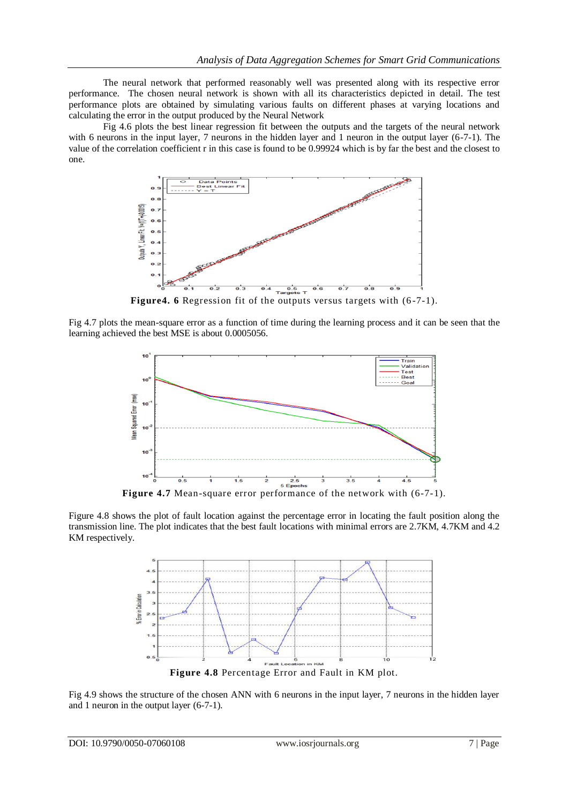The neural network that performed reasonably well was presented along with its respective error performance. The chosen neural network is shown with all its characteristics depicted in detail. The test performance plots are obtained by simulating various faults on different phases at varying locations and calculating the error in the output produced by the Neural Network

Fig 4.6 plots the best linear regression fit between the outputs and the targets of the neural network with 6 neurons in the input layer, 7 neurons in the hidden layer and 1 neuron in the output layer (6-7-1). The value of the correlation coefficient r in this case is found to be 0.99924 which is by far the best and the closest to one.



Figure4. 6 Regression fit of the outputs versus targets with  $(6-7-1)$ .

Fig 4.7 plots the mean-square error as a function of time during the learning process and it can be seen that the learning achieved the best MSE is about 0.0005056.



**Figure 4.7** Mean-square error performance of the network with (6-7-1).

Figure 4.8 shows the plot of fault location against the percentage error in locating the fault position along the transmission line. The plot indicates that the best fault locations with minimal errors are 2.7KM, 4.7KM and 4.2 KM respectively.



Fig 4.9 shows the structure of the chosen ANN with 6 neurons in the input layer, 7 neurons in the hidden layer and 1 neuron in the output layer (6-7-1).